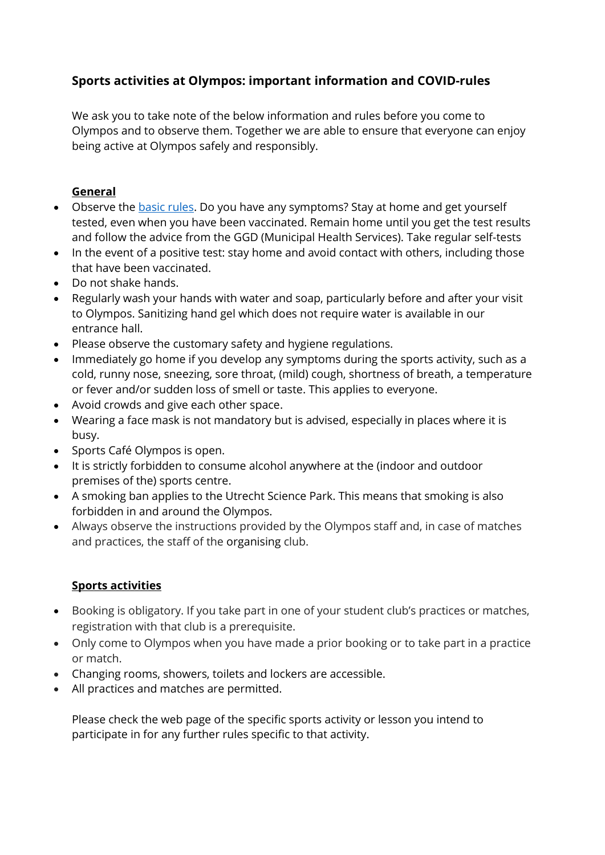## **Sports activities at Olympos: important information and COVID-rules**

We ask you to take note of the below information and rules before you come to Olympos and to observe them. Together we are able to ensure that everyone can enjoy being active at Olympos safely and responsibly.

## **General**

- Observe the [basic rules.](https://www.government.nl/topics/coronavirus-covid-19/tackling-new-coronavirus-in-the-netherlands/basic-rules-for-everyone) Do you have any symptoms? Stay at home and get yourself tested, even when you have been vaccinated. Remain home until you get the test results and follow the advice from the GGD (Municipal Health Services). Take regular self-tests
- In the event of a positive test: stay home and avoid contact with others, including those that have been vaccinated.
- Do not shake hands.
- Regularly wash your hands with water and soap, particularly before and after your visit to Olympos. Sanitizing hand gel which does not require water is available in our entrance hall.
- Please observe the customary safety and hygiene regulations.
- Immediately go home if you develop any symptoms during the sports activity, such as a cold, runny nose, sneezing, sore throat, (mild) cough, shortness of breath, a temperature or fever and/or sudden loss of smell or taste. This applies to everyone.
- Avoid crowds and give each other space.
- Wearing a face mask is not mandatory but is advised, especially in places where it is busy.
- Sports Café Olympos is open.
- It is strictly forbidden to consume alcohol anywhere at the (indoor and outdoor premises of the) sports centre.
- A smoking ban applies to the Utrecht Science Park. This means that smoking is also forbidden in and around the Olympos.
- Always observe the instructions provided by the Olympos staff and, in case of matches and practices, the staff of the organising club.

## **Sports activities**

- Booking is obligatory. If you take part in one of your student club's practices or matches, registration with that club is a prerequisite.
- Only come to Olympos when you have made a prior booking or to take part in a practice or match.
- Changing rooms, showers, toilets and lockers are accessible.
- All practices and matches are permitted.

Please check the web page of the specific sports activity or lesson you intend to participate in for any further rules specific to that activity.